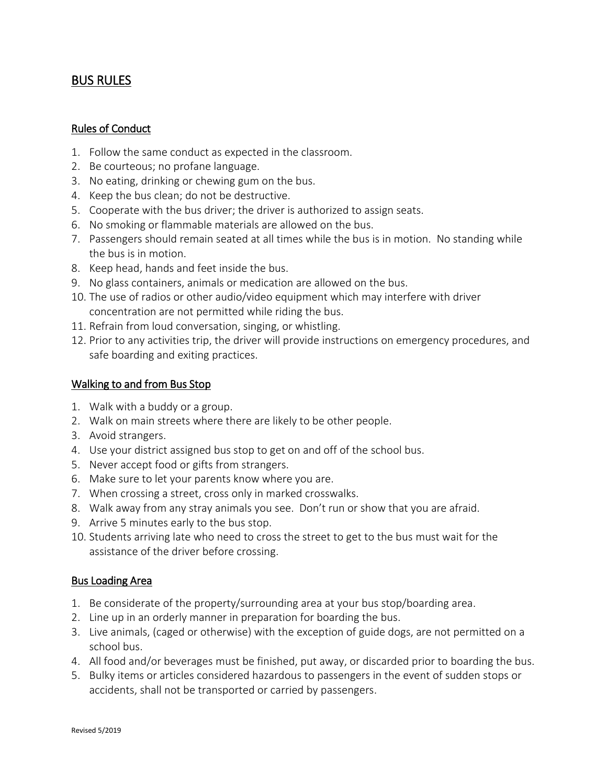# BUS RULES

### Rules of Conduct

- 1. Follow the same conduct as expected in the classroom.
- 2. Be courteous; no profane language.
- 3. No eating, drinking or chewing gum on the bus.
- 4. Keep the bus clean; do not be destructive.
- 5. Cooperate with the bus driver; the driver is authorized to assign seats.
- 6. No smoking or flammable materials are allowed on the bus.
- 7. Passengers should remain seated at all times while the bus is in motion. No standing while the bus is in motion.
- 8. Keep head, hands and feet inside the bus.
- 9. No glass containers, animals or medication are allowed on the bus.
- 10. The use of radios or other audio/video equipment which may interfere with driver concentration are not permitted while riding the bus.
- 11. Refrain from loud conversation, singing, or whistling.
- 12. Prior to any activities trip, the driver will provide instructions on emergency procedures, and safe boarding and exiting practices.

### Walking to and from Bus Stop

- 1. Walk with a buddy or a group.
- 2. Walk on main streets where there are likely to be other people.
- 3. Avoid strangers.
- 4. Use your district assigned bus stop to get on and off of the school bus.
- 5. Never accept food or gifts from strangers.
- 6. Make sure to let your parents know where you are.
- 7. When crossing a street, cross only in marked crosswalks.
- 8. Walk away from any stray animals you see. Don't run or show that you are afraid.
- 9. Arrive 5 minutes early to the bus stop.
- 10. Students arriving late who need to cross the street to get to the bus must wait for the assistance of the driver before crossing.

#### Bus Loading Area

- 1. Be considerate of the property/surrounding area at your bus stop/boarding area.
- 2. Line up in an orderly manner in preparation for boarding the bus.
- 3. Live animals, (caged or otherwise) with the exception of guide dogs, are not permitted on a school bus.
- 4. All food and/or beverages must be finished, put away, or discarded prior to boarding the bus.
- 5. Bulky items or articles considered hazardous to passengers in the event of sudden stops or accidents, shall not be transported or carried by passengers.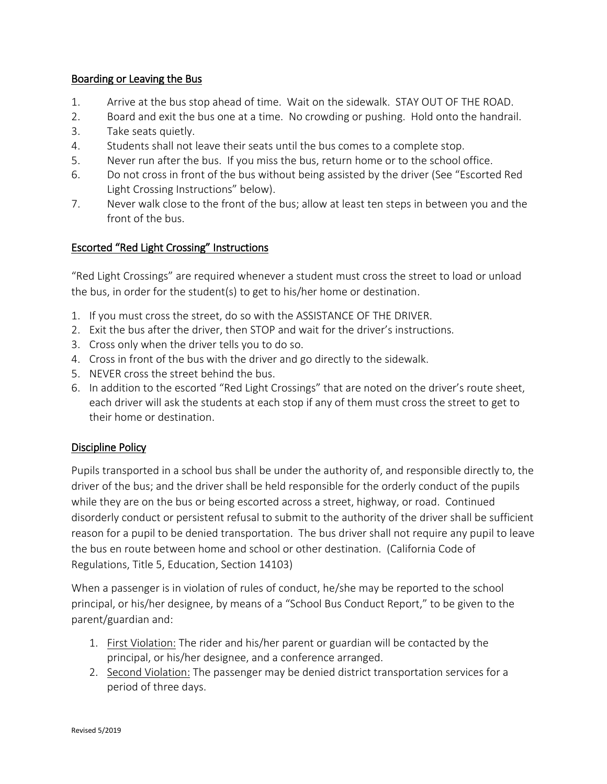### Boarding or Leaving the Bus

- 1. Arrive at the bus stop ahead of time. Wait on the sidewalk. STAY OUT OF THE ROAD.
- 2. Board and exit the bus one at a time. No crowding or pushing. Hold onto the handrail.
- 3. Take seats quietly.
- 4. Students shall not leave their seats until the bus comes to a complete stop.
- 5. Never run after the bus. If you miss the bus, return home or to the school office.
- 6. Do not cross in front of the bus without being assisted by the driver (See "Escorted Red Light Crossing Instructions" below).
- 7. Never walk close to the front of the bus; allow at least ten steps in between you and the front of the bus.

# Escorted "Red Light Crossing" Instructions

"Red Light Crossings" are required whenever a student must cross the street to load or unload the bus, in order for the student(s) to get to his/her home or destination.

- 1. If you must cross the street, do so with the ASSISTANCE OF THE DRIVER.
- 2. Exit the bus after the driver, then STOP and wait for the driver's instructions.
- 3. Cross only when the driver tells you to do so.
- 4. Cross in front of the bus with the driver and go directly to the sidewalk.
- 5. NEVER cross the street behind the bus.
- 6. In addition to the escorted "Red Light Crossings" that are noted on the driver's route sheet, each driver will ask the students at each stop if any of them must cross the street to get to their home or destination.

# Discipline Policy

Pupils transported in a school bus shall be under the authority of, and responsible directly to, the driver of the bus; and the driver shall be held responsible for the orderly conduct of the pupils while they are on the bus or being escorted across a street, highway, or road. Continued disorderly conduct or persistent refusal to submit to the authority of the driver shall be sufficient reason for a pupil to be denied transportation. The bus driver shall not require any pupil to leave the bus en route between home and school or other destination. (California Code of Regulations, Title 5, Education, Section 14103)

When a passenger is in violation of rules of conduct, he/she may be reported to the school principal, or his/her designee, by means of a "School Bus Conduct Report," to be given to the parent/guardian and:

- 1. First Violation: The rider and his/her parent or guardian will be contacted by the principal, or his/her designee, and a conference arranged.
- 2. Second Violation: The passenger may be denied district transportation services for a period of three days.